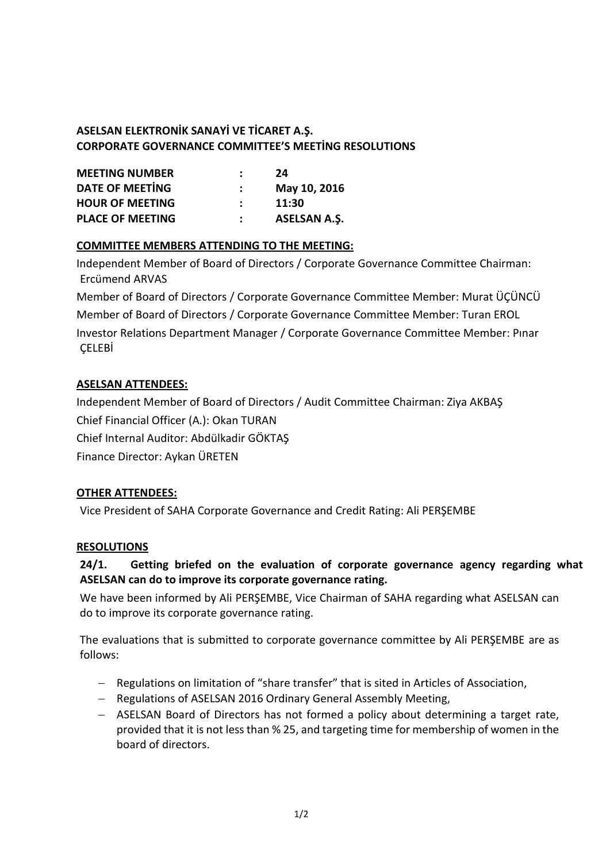# **ASELSAN ELEKTRONİK SANAYİ VE TİCARET A.Ş. CORPORATE GOVERNANCE COMMITTEE'S MEETİNG RESOLUTIONS**

| <b>MEETING NUMBER</b>   | 24                  |
|-------------------------|---------------------|
| <b>DATE OF MEETING</b>  | May 10, 2016        |
| <b>HOUR OF MEETING</b>  | 11:30               |
| <b>PLACE OF MEETING</b> | <b>ASELSAN A.S.</b> |

### **COMMITTEE MEMBERS ATTENDING TO THE MEETING:**

Independent Member of Board of Directors / Corporate Governance Committee Chairman: Ercümend ARVAS

Member of Board of Directors / Corporate Governance Committee Member: Murat ÜÇÜNCÜ Member of Board of Directors / Corporate Governance Committee Member: Turan EROL Investor Relations Department Manager / Corporate Governance Committee Member: Pınar **CELEBİ** 

# **ASELSAN ATTENDEES:**

Independent Member of Board of Directors / Audit Committee Chairman: Ziya AKBAŞ Chief Financial Officer (A.): Okan TURAN Chief Internal Auditor: Abdülkadir GÖKTAŞ Finance Director: Aykan ÜRETEN

### **OTHER ATTENDEES:**

Vice President of SAHA Corporate Governance and Credit Rating: Ali PERŞEMBE

### **RESOLUTIONS**

# **24/1. Getting briefed on the evaluation of corporate governance agency regarding what ASELSAN can do to improve its corporate governance rating.**

We have been informed by Ali PERŞEMBE, Vice Chairman of SAHA regarding what ASELSAN can do to improve its corporate governance rating.

The evaluations that is submitted to corporate governance committee by Ali PERŞEMBE are as follows:

- Regulations on limitation of "share transfer" that is sited in Articles of Association,
- Regulations of ASELSAN 2016 Ordinary General Assembly Meeting,
- ASELSAN Board of Directors has not formed a policy about determining a target rate, provided that it is not less than % 25, and targeting time for membership of women in the board of directors.